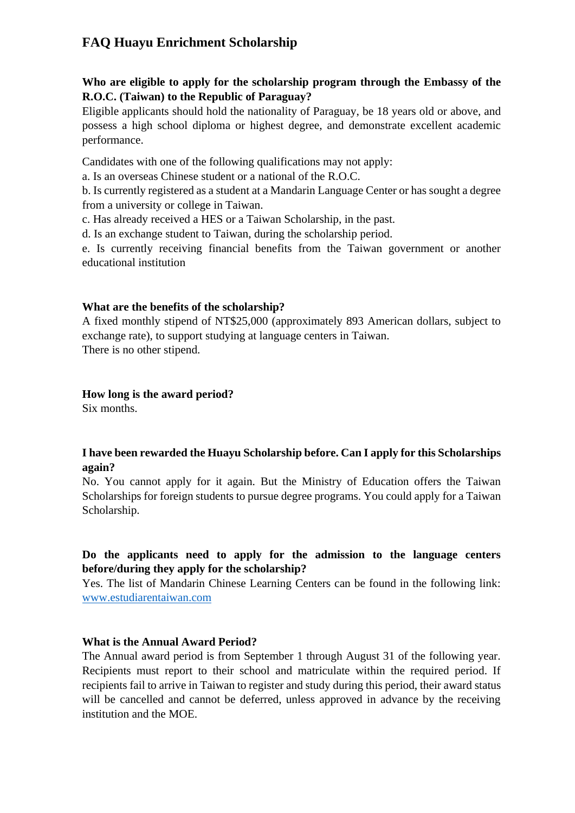## **FAQ Huayu Enrichment Scholarship**

## **Who are eligible to apply for the scholarship program through the Embassy of the R.O.C. (Taiwan) to the Republic of Paraguay?**

Eligible applicants should hold the nationality of Paraguay, be 18 years old or above, and possess a high school diploma or highest degree, and demonstrate excellent academic performance.

Candidates with one of the following qualifications may not apply:

a. Is an overseas Chinese student or a national of the R.O.C.

b. Is currently registered as a student at a Mandarin Language Center or has sought a degree from a university or college in Taiwan.

c. Has already received a HES or a Taiwan Scholarship, in the past.

d. Is an exchange student to Taiwan, during the scholarship period.

e. Is currently receiving financial benefits from the Taiwan government or another educational institution

## **What are the benefits of the scholarship?**

A fixed monthly stipend of NT\$25,000 (approximately 893 American dollars, subject to exchange rate), to support studying at language centers in Taiwan. There is no other stipend.

#### **How long is the award period?**

Six months.

## **I have been rewarded the Huayu Scholarship before. Can I apply for this Scholarships again?**

No. You cannot apply for it again. But the Ministry of Education offers the Taiwan Scholarships for foreign students to pursue degree programs. You could apply for a Taiwan Scholarship.

## **Do the applicants need to apply for the admission to the language centers before/during they apply for the scholarship?**

Yes. The list of Mandarin Chinese Learning Centers can be found in the following link: [www.estudiarentaiwan.com](http://www.estudiarentaiwan.com/)

## **What is the Annual Award Period?**

The Annual award period is from September 1 through August 31 of the following year. Recipients must report to their school and matriculate within the required period. If recipients fail to arrive in Taiwan to register and study during this period, their award status will be cancelled and cannot be deferred, unless approved in advance by the receiving institution and the MOE.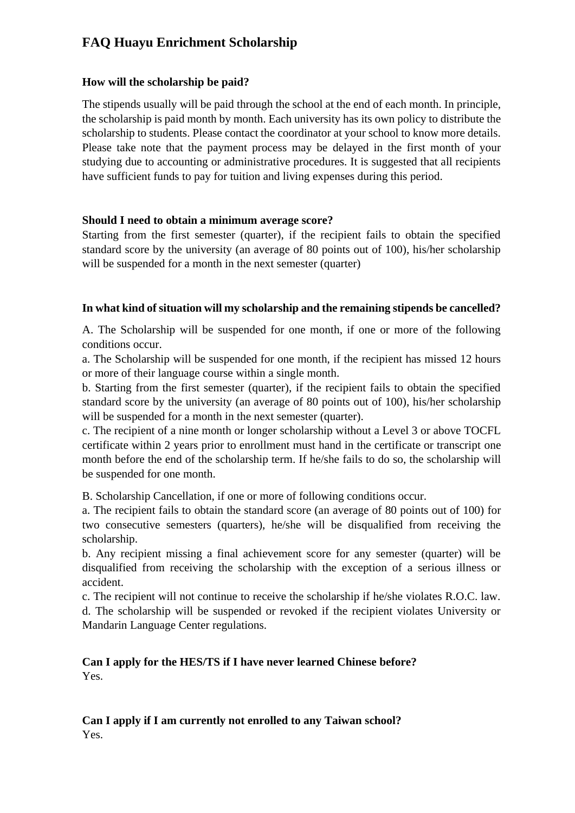# **FAQ Huayu Enrichment Scholarship**

## **How will the scholarship be paid?**

The stipends usually will be paid through the school at the end of each month. In principle, the scholarship is paid month by month. Each university has its own policy to distribute the scholarship to students. Please contact the coordinator at your school to know more details. Please take note that the payment process may be delayed in the first month of your studying due to accounting or administrative procedures. It is suggested that all recipients have sufficient funds to pay for tuition and living expenses during this period.

## **Should I need to obtain a minimum average score?**

Starting from the first semester (quarter), if the recipient fails to obtain the specified standard score by the university (an average of 80 points out of 100), his/her scholarship will be suspended for a month in the next semester (quarter)

## **In what kind of situation will my scholarship and the remaining stipends be cancelled?**

A. The Scholarship will be suspended for one month, if one or more of the following conditions occur.

a. The Scholarship will be suspended for one month, if the recipient has missed 12 hours or more of their language course within a single month.

b. Starting from the first semester (quarter), if the recipient fails to obtain the specified standard score by the university (an average of 80 points out of 100), his/her scholarship will be suspended for a month in the next semester (quarter).

c. The recipient of a nine month or longer scholarship without a Level 3 or above TOCFL certificate within 2 years prior to enrollment must hand in the certificate or transcript one month before the end of the scholarship term. If he/she fails to do so, the scholarship will be suspended for one month.

B. Scholarship Cancellation, if one or more of following conditions occur.

a. The recipient fails to obtain the standard score (an average of 80 points out of 100) for two consecutive semesters (quarters), he/she will be disqualified from receiving the scholarship.

b. Any recipient missing a final achievement score for any semester (quarter) will be disqualified from receiving the scholarship with the exception of a serious illness or accident.

c. The recipient will not continue to receive the scholarship if he/she violates R.O.C. law. d. The scholarship will be suspended or revoked if the recipient violates University or Mandarin Language Center regulations.

## **Can I apply for the HES/TS if I have never learned Chinese before?**  Yes.

## **Can I apply if I am currently not enrolled to any Taiwan school?**  Yes.